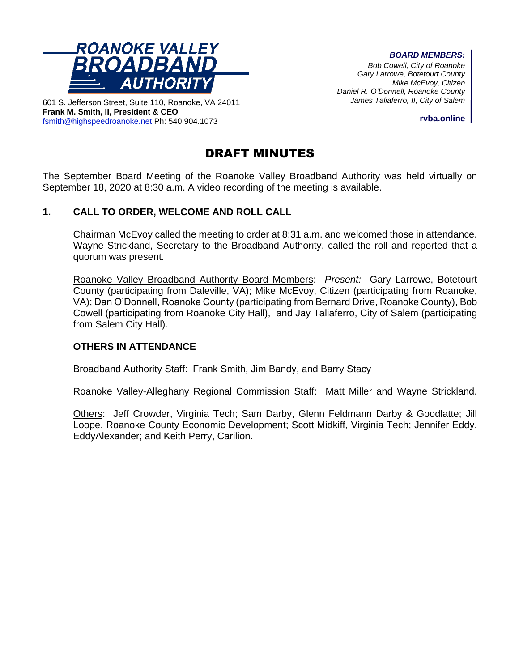

*BOARD MEMBERS:*

*Bob Cowell, City of Roanoke Gary Larrowe, Botetourt County Mike McEvoy, Citizen Daniel R. O'Donnell, Roanoke County James Taliaferro, II, City of Salem*

601 S. Jefferson Street, Suite 110, Roanoke, VA 24011 **Frank M. Smith, II, President & CEO** [fsmith@highspeedroanoke.net](mailto:fsmith@highspeedroanoke.net) Ph: 540.904.1073

**rvba.online**

# DRAFT MINUTES

The September Board Meeting of the Roanoke Valley Broadband Authority was held virtually on September 18, 2020 at 8:30 a.m. A video recording of the meeting is available.

## **1. CALL TO ORDER, WELCOME AND ROLL CALL**

Chairman McEvoy called the meeting to order at 8:31 a.m. and welcomed those in attendance. Wayne Strickland, Secretary to the Broadband Authority, called the roll and reported that a quorum was present.

Roanoke Valley Broadband Authority Board Members: *Present:* Gary Larrowe, Botetourt County (participating from Daleville, VA); Mike McEvoy, Citizen (participating from Roanoke, VA); Dan O'Donnell, Roanoke County (participating from Bernard Drive, Roanoke County), Bob Cowell (participating from Roanoke City Hall), and Jay Taliaferro, City of Salem (participating from Salem City Hall).

## **OTHERS IN ATTENDANCE**

Broadband Authority Staff: Frank Smith, Jim Bandy, and Barry Stacy

Roanoke Valley-Alleghany Regional Commission Staff: Matt Miller and Wayne Strickland.

Others: Jeff Crowder, Virginia Tech; Sam Darby, Glenn Feldmann Darby & Goodlatte; Jill Loope, Roanoke County Economic Development; Scott Midkiff, Virginia Tech; Jennifer Eddy, EddyAlexander; and Keith Perry, Carilion.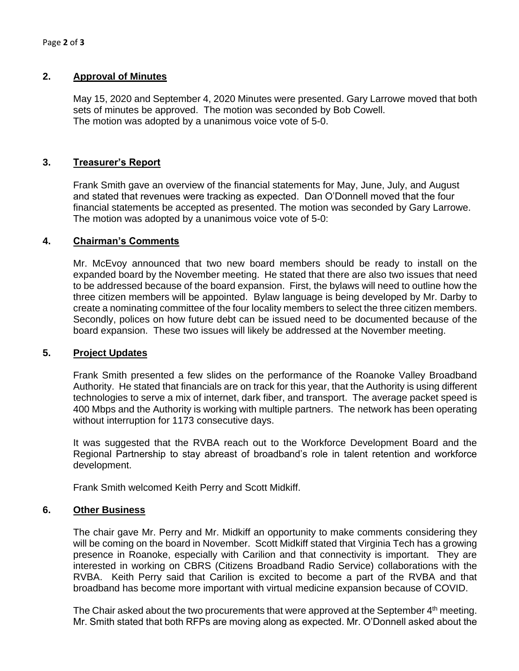### **2. Approval of Minutes**

May 15, 2020 and September 4, 2020 Minutes were presented. Gary Larrowe moved that both sets of minutes be approved. The motion was seconded by Bob Cowell. The motion was adopted by a unanimous voice vote of 5-0.

## **3. Treasurer's Report**

Frank Smith gave an overview of the financial statements for May, June, July, and August and stated that revenues were tracking as expected. Dan O'Donnell moved that the four financial statements be accepted as presented. The motion was seconded by Gary Larrowe. The motion was adopted by a unanimous voice vote of 5-0:

### **4. Chairman's Comments**

Mr. McEvoy announced that two new board members should be ready to install on the expanded board by the November meeting. He stated that there are also two issues that need to be addressed because of the board expansion. First, the bylaws will need to outline how the three citizen members will be appointed. Bylaw language is being developed by Mr. Darby to create a nominating committee of the four locality members to select the three citizen members. Secondly, polices on how future debt can be issued need to be documented because of the board expansion. These two issues will likely be addressed at the November meeting.

### **5. Project Updates**

Frank Smith presented a few slides on the performance of the Roanoke Valley Broadband Authority. He stated that financials are on track for this year, that the Authority is using different technologies to serve a mix of internet, dark fiber, and transport. The average packet speed is 400 Mbps and the Authority is working with multiple partners. The network has been operating without interruption for 1173 consecutive days.

It was suggested that the RVBA reach out to the Workforce Development Board and the Regional Partnership to stay abreast of broadband's role in talent retention and workforce development.

Frank Smith welcomed Keith Perry and Scott Midkiff.

### **6. Other Business**

The chair gave Mr. Perry and Mr. Midkiff an opportunity to make comments considering they will be coming on the board in November. Scott Midkiff stated that Virginia Tech has a growing presence in Roanoke, especially with Carilion and that connectivity is important. They are interested in working on CBRS (Citizens Broadband Radio Service) collaborations with the RVBA. Keith Perry said that Carilion is excited to become a part of the RVBA and that broadband has become more important with virtual medicine expansion because of COVID.

The Chair asked about the two procurements that were approved at the September  $4<sup>th</sup>$  meeting. Mr. Smith stated that both RFPs are moving along as expected. Mr. O'Donnell asked about the